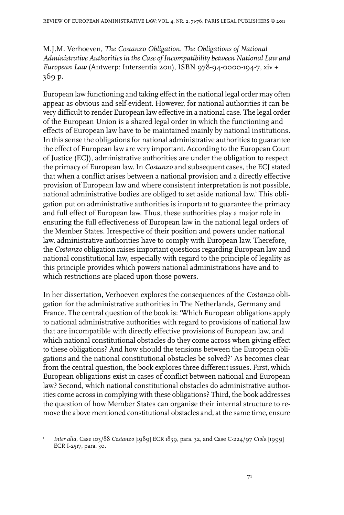M.J.M. Verhoeven, *The Costanzo Obligation. The Obligations of National Administrative Authorities in the Case ofIncompatibility between National Law and European Law* (Antwerp: Intersentia 2011), ISBN 978-94-0000-194-7, xiv + 369 p.

European law functioning and taking effect in the national legal order may often appear as obvious and self-evident. However, for national authorities it can be very difficult to render European law effective in a national case. The legal order of the European Union is a shared legal order in which the functioning and effects of European law have to be maintained mainly by national institutions. In this sense the obligations for national administrative authorities to guarantee the effect of European law are very important. According to the European Court of Justice (ECJ), administrative authorities are under the obligation to respect the primacy of European law. In *Costanzo* and subsequent cases, the ECJ stated that when a conflict arises between a national provision and a directly effective provision of European law and where consistent interpretation is not possible, national administrative bodies are obliged to set aside national law. 1 This obligation put on administrative authorities is important to guarantee the primacy and full effect of European law. Thus, these authorities play a major role in ensuring the full effectiveness of European law in the national legal orders of the Member States. Irrespective of their position and powers under national law, administrative authorities have to comply with European law. Therefore, the *Costanzo* obligation raises important questions regarding European law and national constitutional law, especially with regard to the principle of legality as this principle provides which powers national administrations have and to which restrictions are placed upon those powers.

In her dissertation, Verhoeven explores the consequences of the *Costanzo* obligation for the administrative authorities in The Netherlands, Germany and France. The central question of the book is: 'Which European obligations apply to national administrative authorities with regard to provisions of national law that are incompatible with directly effective provisions of European law, and which national constitutional obstacles do they come across when giving effect to these obligations? And how should the tensions between the European obligations and the national constitutional obstacles be solved?' As becomes clear from the central question, the book explores three different issues. First, which European obligations exist in cases of conflict between national and European law? Second, which national constitutional obstacles do administrative authorities come across in complying with these obligations? Third, the book addresses the question of how Member States can organise their internal structure to remove the above mentioned constitutional obstacles and, at the same time, ensure

*Inter alia*, Case 103/88 *Costanzo* [1989] ECR 1839, para. 32, and Case C-224/97 *Ciola* [1999] ECR I-2517, para. 30. 1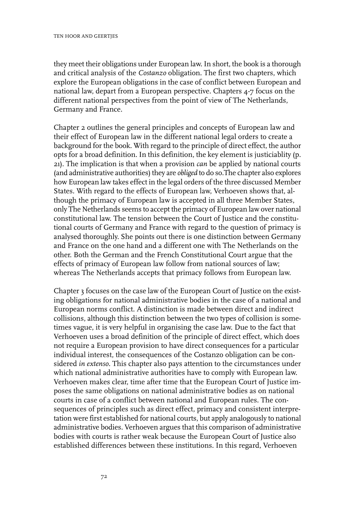they meet their obligations under European law. In short, the book is a thorough and critical analysis of the *Costanzo* obligation. The first two chapters, which explore the European obligations in the case of conflict between European and national law, depart from a European perspective. Chapters 4-7 focus on the different national perspectives from the point of view of The Netherlands, Germany and France.

Chapter 2 outlines the general principles and concepts of European law and their effect of European law in the different national legal orders to create a background for the book. With regard to the principle of direct effect, the author opts for a broad definition. In this definition, the key element is justiciablity (p. 21). The implication is that when a provision *can* be applied by national courts (and administrative authorities) they are *obliged* to do so.The chapter also explores how European law takes effect in the legal orders of the three discussed Member States. With regard to the effects of European law, Verhoeven shows that, although the primacy of European law is accepted in all three Member States, only The Netherlands seems to accept the primacy of European law over national constitutional law. The tension between the Court of Justice and the constitutional courts of Germany and France with regard to the question of primacy is analysed thoroughly. She points out there is one distinction between Germany and France on the one hand and a different one with The Netherlands on the other. Both the German and the French Constitutional Court argue that the effects of primacy of European law follow from national sources of law; whereas The Netherlands accepts that primacy follows from European law.

Chapter 3 focuses on the case law of the European Court of Justice on the existing obligations for national administrative bodies in the case of a national and European norms conflict. A distinction is made between direct and indirect collisions, although this distinction between the two types of collision is sometimes vague, it is very helpful in organising the case law. Due to the fact that Verhoeven uses a broad definition of the principle of direct effect, which does not require a European provision to have direct consequences for a particular individual interest, the consequences of the Costanzo obligation can be considered *in extenso.* This chapter also pays attention to the circumstances under which national administrative authorities have to comply with European law. Verhoeven makes clear, time after time that the European Court of Justice imposes the same obligations on national administrative bodies as on national courts in case of a conflict between national and European rules. The consequences of principles such as direct effect, primacy and consistent interpretation were first established for national courts, but apply analogously to national administrative bodies. Verhoeven argues that this comparison of administrative bodies with courts is rather weak because the European Court of Justice also established differences between these institutions. In this regard, Verhoeven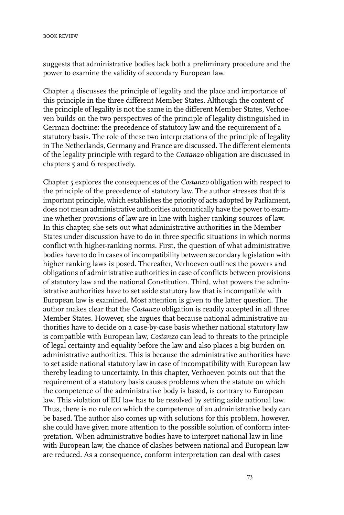suggests that administrative bodies lack both a preliminary procedure and the power to examine the validity of secondary European law.

Chapter 4 discusses the principle of legality and the place and importance of this principle in the three different Member States. Although the content of the principle of legality is not the same in the different Member States, Verhoeven builds on the two perspectives of the principle of legality distinguished in German doctrine: the precedence of statutory law and the requirement of a statutory basis. The role of these two interpretations of the principle of legality in The Netherlands, Germany and France are discussed. The different elements of the legality principle with regard to the *Costanzo* obligation are discussed in chapters 5 and 6 respectively.

Chapter 5 explores the consequences of the *Costanzo* obligation with respect to the principle of the precedence of statutory law. The author stresses that this important principle, which establishes the priority of acts adopted by Parliament, does not mean administrative authorities automatically have the power to examine whether provisions of law are in line with higher ranking sources of law. In this chapter, she sets out what administrative authorities in the Member States under discussion have to do in three specific situations in which norms conflict with higher-ranking norms. First, the question of what administrative bodies have to do in cases of incompatibility between secondary legislation with higher ranking laws is posed. Thereafter, Verhoeven outlines the powers and obligations of administrative authorities in case of conflicts between provisions of statutory law and the national Constitution. Third, what powers the administrative authorities have to set aside statutory law that is incompatible with European law is examined. Most attention is given to the latter question. The author makes clear that the *Costanzo* obligation is readily accepted in all three Member States. However, she argues that because national administrative authorities have to decide on a case-by-case basis whether national statutory law is compatible with European law, *Costanzo* can lead to threats to the principle of legal certainty and equality before the law and also places a big burden on administrative authorities. This is because the administrative authorities have to set aside national statutory law in case of incompatibility with European law thereby leading to uncertainty. In this chapter, Verhoeven points out that the requirement of a statutory basis causes problems when the statute on which the competence of the administrative body is based, is contrary to European law. This violation of EU law has to be resolved by setting aside national law. Thus, there is no rule on which the competence of an administrative body can be based. The author also comes up with solutions for this problem, however, she could have given more attention to the possible solution of conform interpretation. When administrative bodies have to interpret national law in line with European law, the chance of clashes between national and European law are reduced. As a consequence, conform interpretation can deal with cases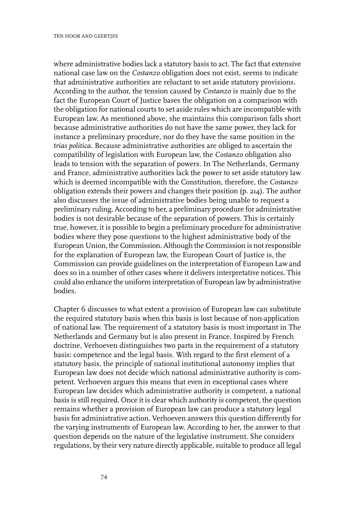where administrative bodies lack a statutory basis to act. The fact that extensive national case law on the *Costanzo* obligation does not exist, seems to indicate that administrative authorities are reluctant to set aside statutory provisions. According to the author, the tension caused by *Costanzo* is mainly due to the fact the European Court of Justice bases the obligation on a comparison with the obligation for national courts to set aside rules which are incompatible with European law. As mentioned above, she maintains this comparison falls short because administrative authorities do not have the same power, they lack for instance a preliminary procedure, nor do they have the same position in the *trias politica*. Because administrative authorities are obliged to ascertain the compatibility of legislation with European law, the *Costanzo* obligation also leads to tension with the separation of powers. In The Netherlands, Germany and France, administrative authorities lack the power to set aside statutory law which is deemed incompatible with the Constitution, therefore, the *Costanzo* obligation extends their powers and changes their position (p. 214). The author also discusses the issue of administrative bodies being unable to request a preliminary ruling. According to her, a preliminary procedure for administrative bodies is not desirable because of the separation of powers. This is certainly true, however, it is possible to begin a preliminary procedure for administrative bodies where they pose questions to the highest administrative body of the European Union, the Commission. Although the Commission is notresponsible for the explanation of European law, the European Court of Justice is, the Commission can provide guidelines on the interpretation of European Law and does so in a number of other cases where it delivers interpretative notices. This could also enhance the uniform interpretation of European law by administrative bodies.

Chapter 6 discusses to what extent a provision of European law can substitute the required statutory basis when this basis is lost because of non-application of national law. The requirement of a statutory basis is most important in The Netherlands and Germany but is also present in France. Inspired by French doctrine, Verhoeven distinguishes two parts in the requirement of a statutory basis: competence and the legal basis. With regard to the first element of a statutory basis, the principle of national institutional autonomy implies that European law does not decide which national administrative authority is competent. Verhoeven argues this means that even in exceptional cases where European law decides which administrative authority is competent, a national basis is still required. Once it is clear which authority is competent, the question remains whether a provision of European law can produce a statutory legal basis for administrative action. Verhoeven answers this question differently for the varying instruments of European law. According to her, the answer to that question depends on the nature of the legislative instrument. She considers regulations, by their very nature directly applicable, suitable to produce all legal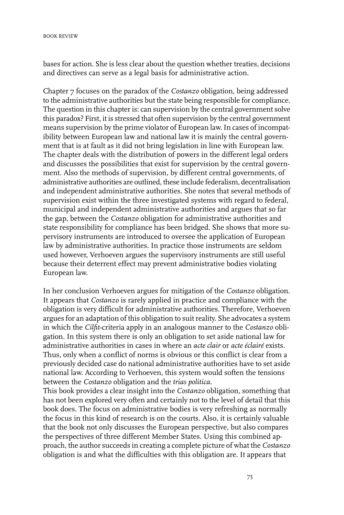bases for action. She is less clear about the question whether treaties, decisions and directives can serve as a legal basis for administrative action.

Chapter 7 focuses on the paradox of the *Costanzo* obligation, being addressed to the administrative authorities but the state being responsible for compliance. The question in this chapter is: can supervision by the central government solve this paradox? First, it is stressed that often supervision by the central government means supervision by the prime violator of European law.In cases of incompatibility between European law and national law it is mainly the central government that is at fault as it did not bring legislation in line with European law. The chapter deals with the distribution of powers in the different legal orders and discusses the possibilities that exist for supervision by the central government. Also the methods of supervision, by different central governments, of administrative authorities are outlined, these include federalism, decentralisation and independent administrative authorities. She notes that several methods of supervision exist within the three investigated systems with regard to federal, municipal and independent administrative authorities and argues that so far the gap, between the *Costanzo* obligation for administrative authorities and state responsibility for compliance has been bridged. She shows that more supervisory instruments are introduced to oversee the application of European law by administrative authorities. In practice those instruments are seldom used however, Verhoeven argues the supervisory instruments are still useful because their deterrent effect may prevent administrative bodies violating European law.

In her conclusion Verhoeven argues for mitigation of the *Costanzo* obligation. It appears that *Costanzo* is rarely applied in practice and compliance with the obligation is very difficult for administrative authorities. Therefore, Verhoeven argues for an adaptation of this obligation to suit reality. She advocates a system in which the *Cilfit*-criteria apply in an analogous manner to the *Costanzo* obligation. In this system there is only an obligation to set aside national law for administrative authorities in cases in where an *acte clair* or *acte éclairé* exists. Thus, only when a conflict of norms is obvious or this conflict is clear from a previously decided case do national administrative authorities have to set aside national law. According to Verhoeven, this system would soften the tensions between the *Costanzo* obligation and the *trias politica*.

This book provides a clear insight into the *Costanzo* obligation, something that has not been explored very often and certainly not to the level of detail that this book does. The focus on administrative bodies is very refreshing as normally the focus in this kind of research is on the courts. Also, it is certainly valuable that the book not only discusses the European perspective, but also compares the perspectives of three different Member States. Using this combined approach, the author succeeds in creating a complete picture of what the *Costanzo* obligation is and what the difficulties with this obligation are. It appears that